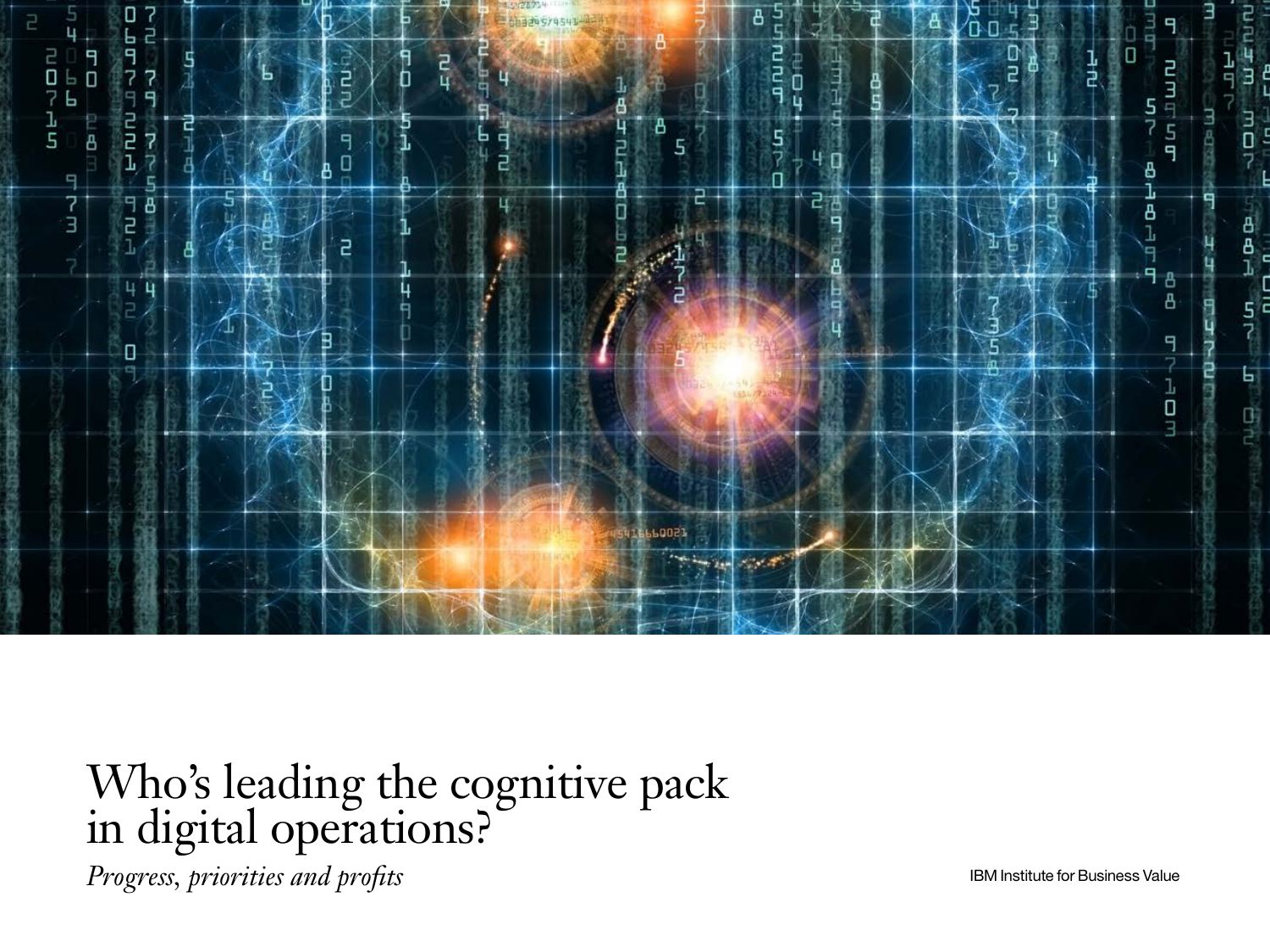

Who's leading the cognitive pack in digital operations?

*Progress, priorities and profits* **IBM** Institute for Business Value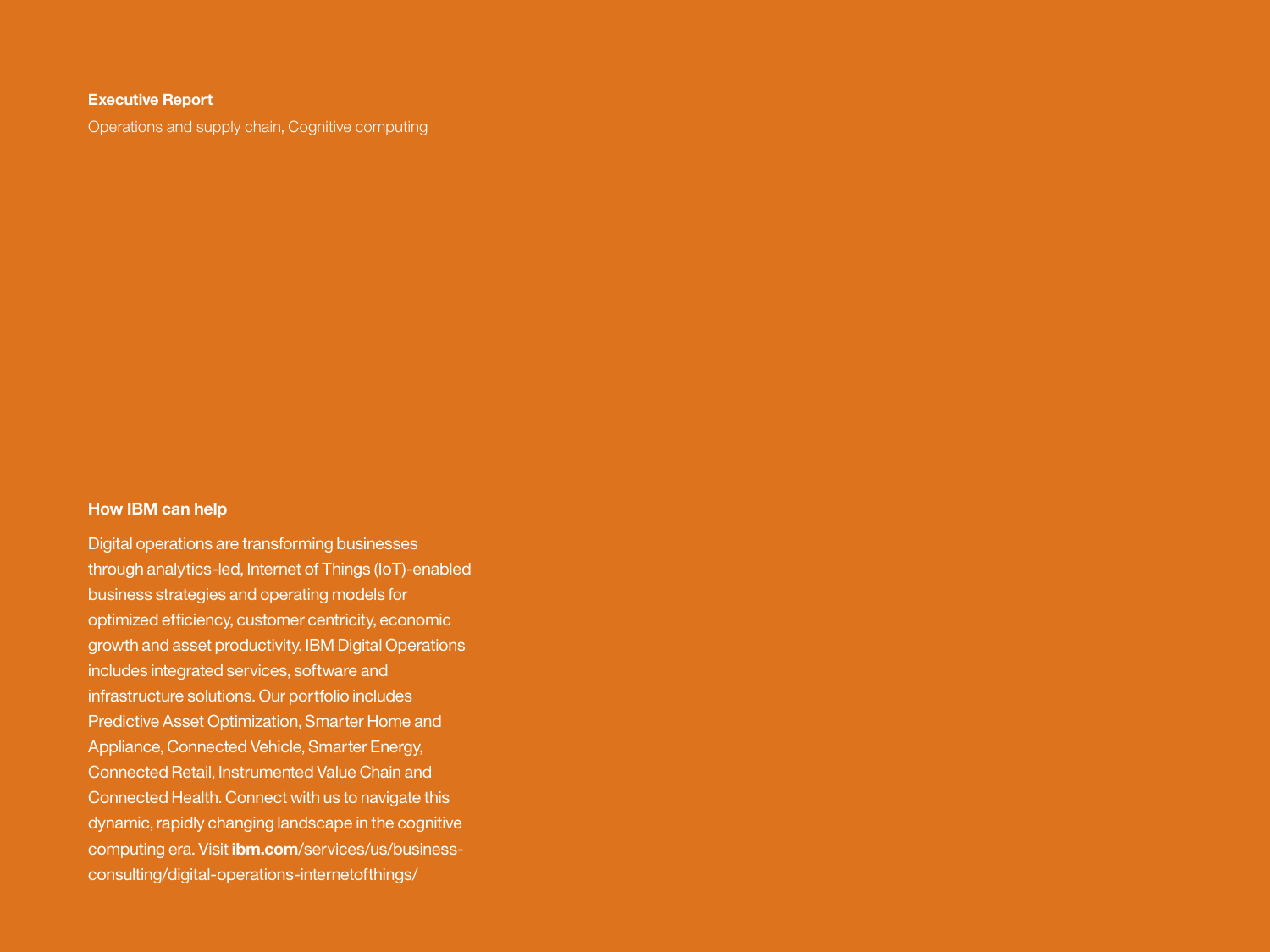#### **Executive Report**

Operations and supply chain, Cognitive computing

## **How IBM can help**

Digital operations are transforming businesses through analytics-led, Internet of Things (IoT)-enabled business strategies and operating models for optimized efficiency, customer centricity, economic growth and asset productivity. IBM Digital Operations includes integrated services, software and infrastructure solutions. Our portfolio includes Predictive Asset Optimization, Smarter Home and Appliance, Connected Vehicle, Smarter Energy, Connected Retail, Instrumented Value Chain and Connected Health. Connect with us to navigate this dynamic, rapidly changing landscape in the cognitive computing era. Visit **ibm.com**[/services/us/business](http://www.ibm.com/services/us/business-consulting/digital-operations-internetofthings/)[consulting/digital](http://www.ibm.com/services/us/business-consulting/digital-operations-internetofthings/)-operations-internetofthings/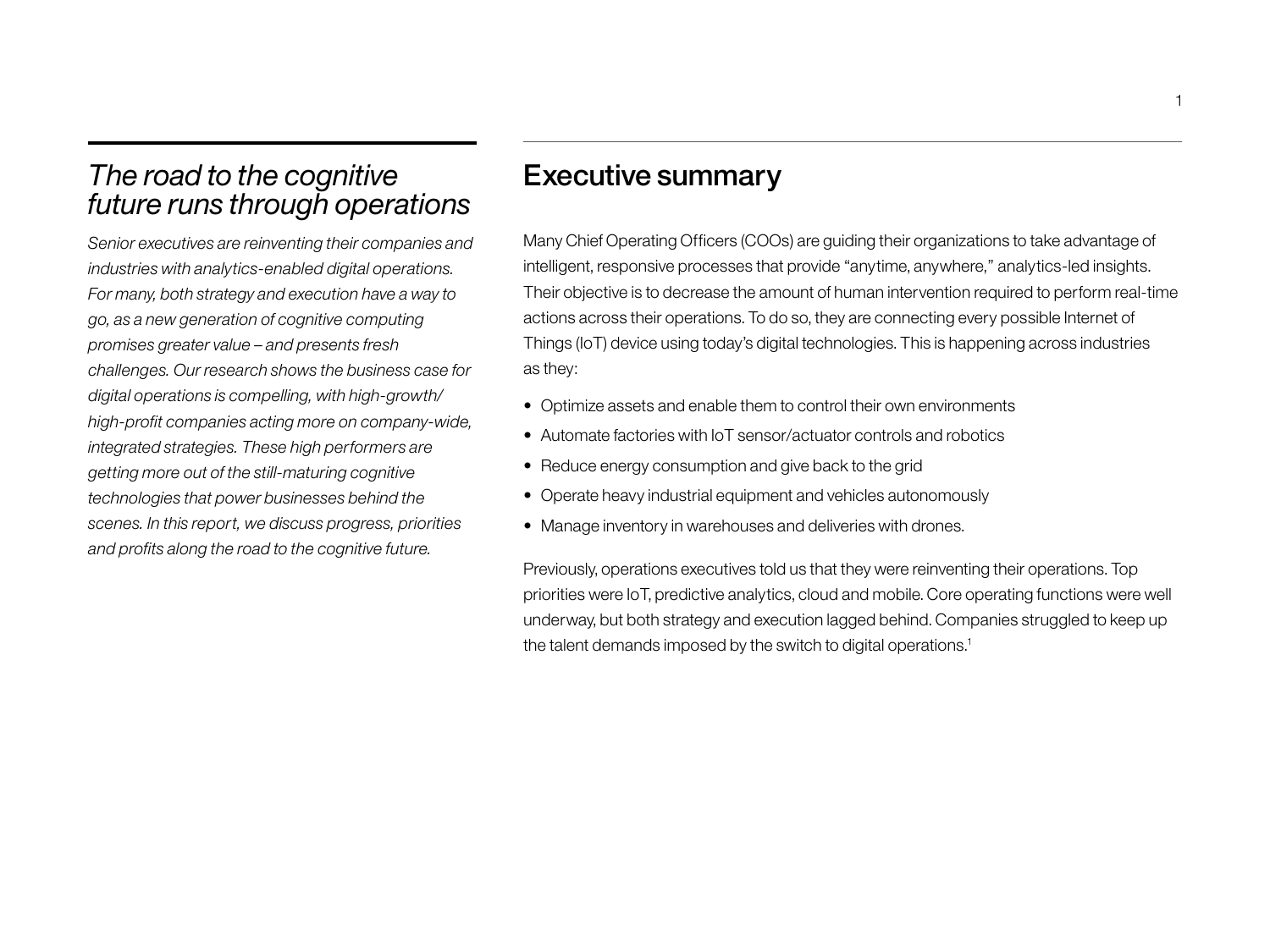# *The road to the cognitive future runs through operations*

*Senior executives are reinventing their companies and industries with analytics-enabled digital operations. For many, both strategy and execution have a way to go, as a new generation of cognitive computing promises greater value – and presents fresh challenges. Our research shows the business case for digital operations is compelling, with high-growth/ high-profit companies acting more on company-wide, integrated strategies. These high performers are getting more out of the still-maturing cognitive technologies that power businesses behind the scenes. In this report, we discuss progress, priorities and profits along the road to the cognitive future.* 

## Executive summary

Many Chief Operating Officers (COOs) are guiding their organizations to take advantage of intelligent, responsive processes that provide "anytime, anywhere," analytics-led insights. Their objective is to decrease the amount of human intervention required to perform real-time actions across their operations. To do so, they are connecting every possible Internet of Things (IoT) device using today's digital technologies. This is happening across industries as they:

- Optimize assets and enable them to control their own environments
- Automate factories with IoT sensor/actuator controls and robotics
- Reduce energy consumption and give back to the grid
- Operate heavy industrial equipment and vehicles autonomously
- Manage inventory in warehouses and deliveries with drones.

Previously, operations executives told us that they were reinventing their operations. Top priorities were IoT, predictive analytics, cloud and mobile. Core operating functions were well underway, but both strategy and execution lagged behind. Companies struggled to keep up the talent demands imposed by the switch to digital operations.<sup>1</sup>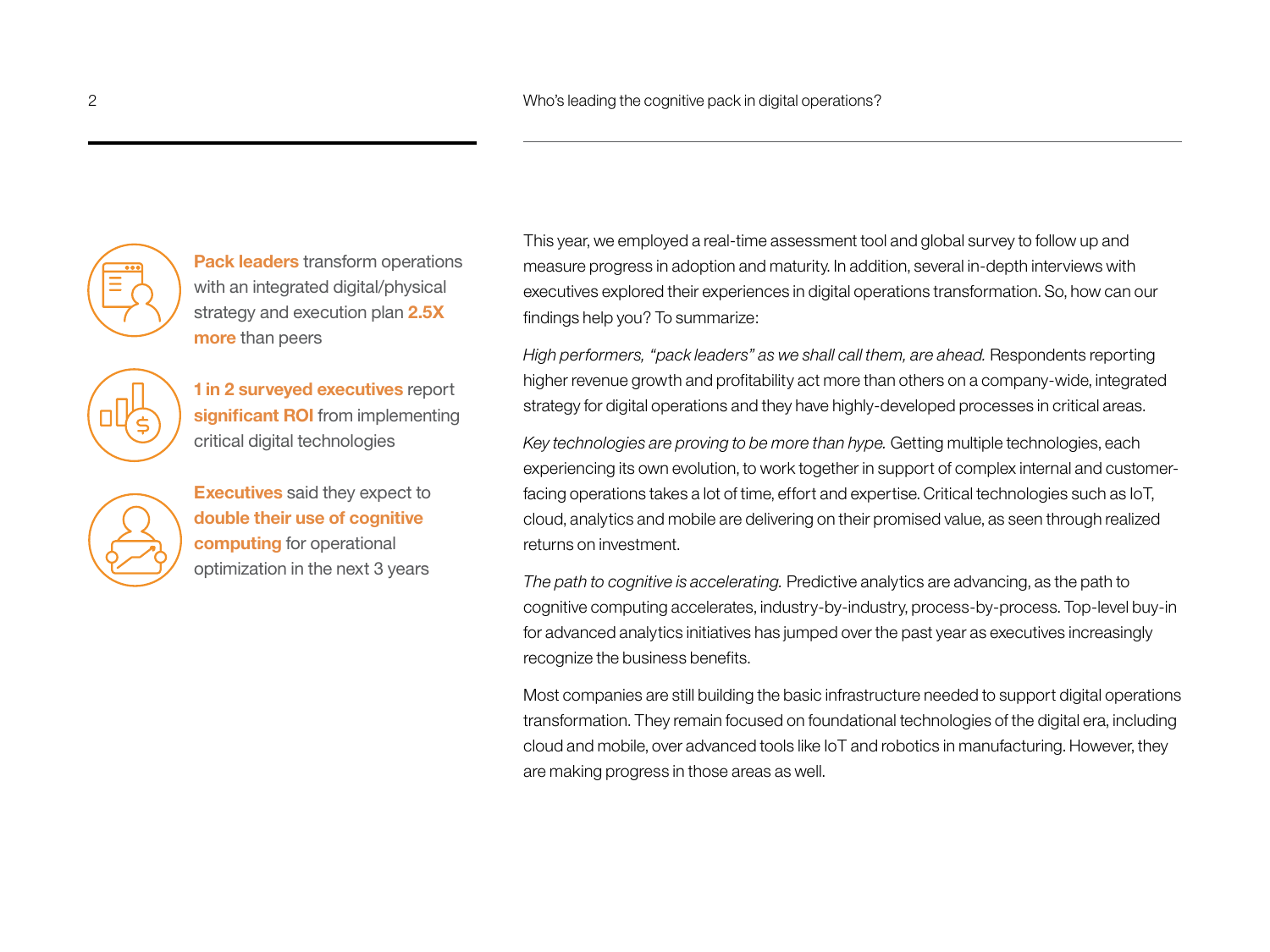

**Pack leaders** transform operations with an integrated digital/physical strategy and execution plan **2.5X more** than peers

**1 in 2 surveyed executives** report **significant ROI** from implementing

critical digital technologies

**Executives** said they expect to **double their use of cognitive computing** for operational optimization in the next 3 years

This year, we employed a real-time assessment tool and global survey to follow up and measure progress in adoption and maturity. In addition, several in-depth interviews with executives explored their experiences in digital operations transformation. So, how can our findings help you? To summarize:

*High performers, "pack leaders" as we shall call them, are ahead.* Respondents reporting higher revenue growth and profitability act more than others on a company-wide, integrated strategy for digital operations and they have highly-developed processes in critical areas.

*Key technologies are proving to be more than hype.* Getting multiple technologies, each experiencing its own evolution, to work together in support of complex internal and customerfacing operations takes a lot of time, effort and expertise. Critical technologies such as IoT, cloud, analytics and mobile are delivering on their promised value, as seen through realized returns on investment.

*The path to cognitive is accelerating.* Predictive analytics are advancing, as the path to cognitive computing accelerates, industry-by-industry, process-by-process. Top-level buy-in for advanced analytics initiatives has jumped over the past year as executives increasingly recognize the business benefits.

Most companies are still building the basic infrastructure needed to support digital operations transformation. They remain focused on foundational technologies of the digital era, including cloud and mobile, over advanced tools like IoT and robotics in manufacturing. However, they are making progress in those areas as well.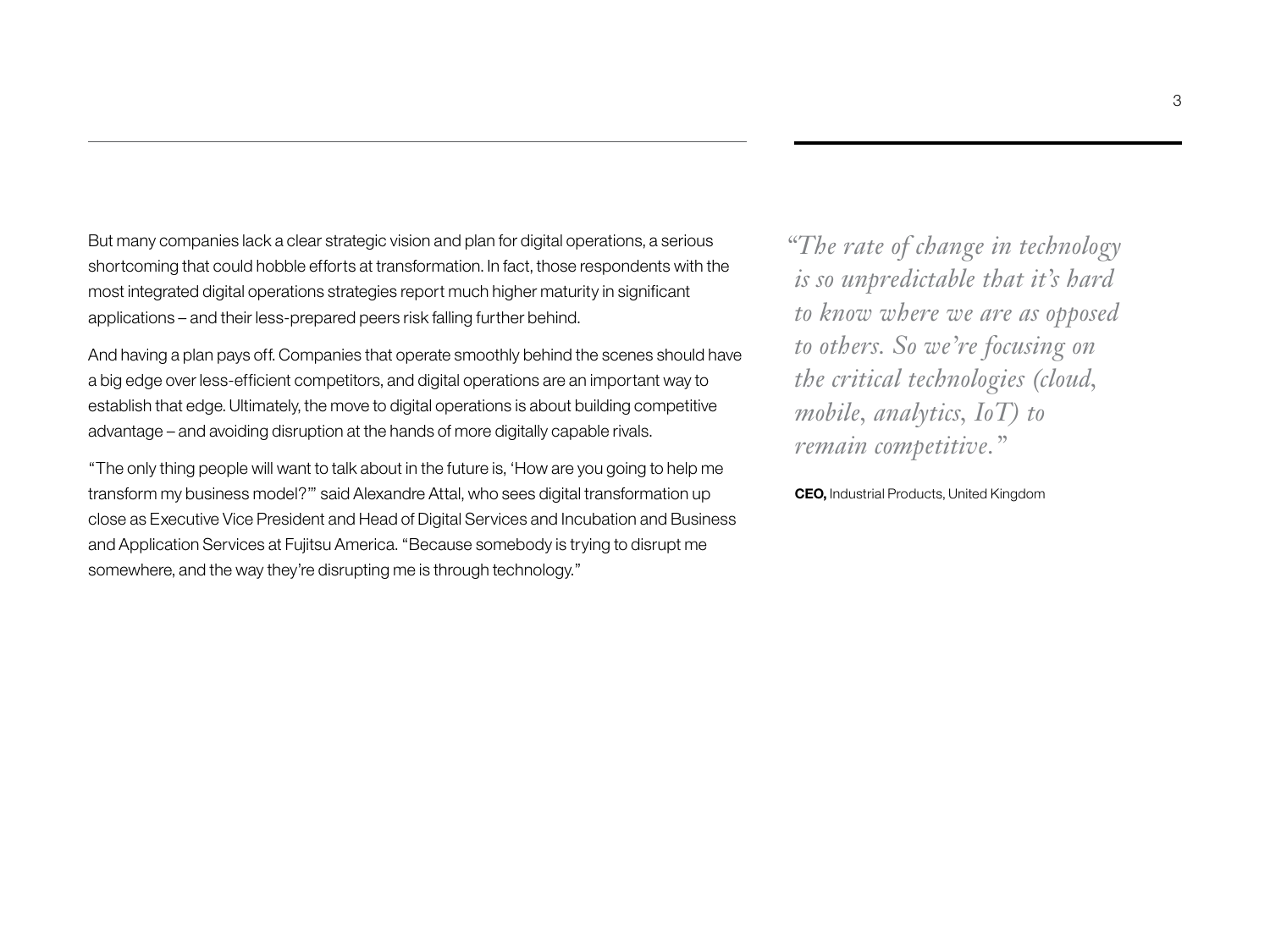But many companies lack a clear strategic vision and plan for digital operations, a serious shortcoming that could hobble efforts at transformation. In fact, those respondents with the most integrated digital operations strategies report much higher maturity in significant applications – and their less-prepared peers risk falling further behind.

And having a plan pays off. Companies that operate smoothly behind the scenes should have a big edge over less-efficient competitors, and digital operations are an important way to establish that edge. Ultimately, the move to digital operations is about building competitive advantage – and avoiding disruption at the hands of more digitally capable rivals.

"The only thing people will want to talk about in the future is, 'How are you going to help me transform my business model?'" said Alexandre Attal, who sees digital transformation up close as Executive Vice President and Head of Digital Services and Incubation and Business and Application Services at Fujitsu America. "Because somebody is trying to disrupt me somewhere, and the way they're disrupting me is through technology."

*"The rate of change in technology is so unpredictable that it's hard to know where we are as opposed to others. So we're focusing on the critical technologies (cloud, mobile, analytics, IoT) to remain competitive."* 

**CEO,** Industrial Products, United Kingdom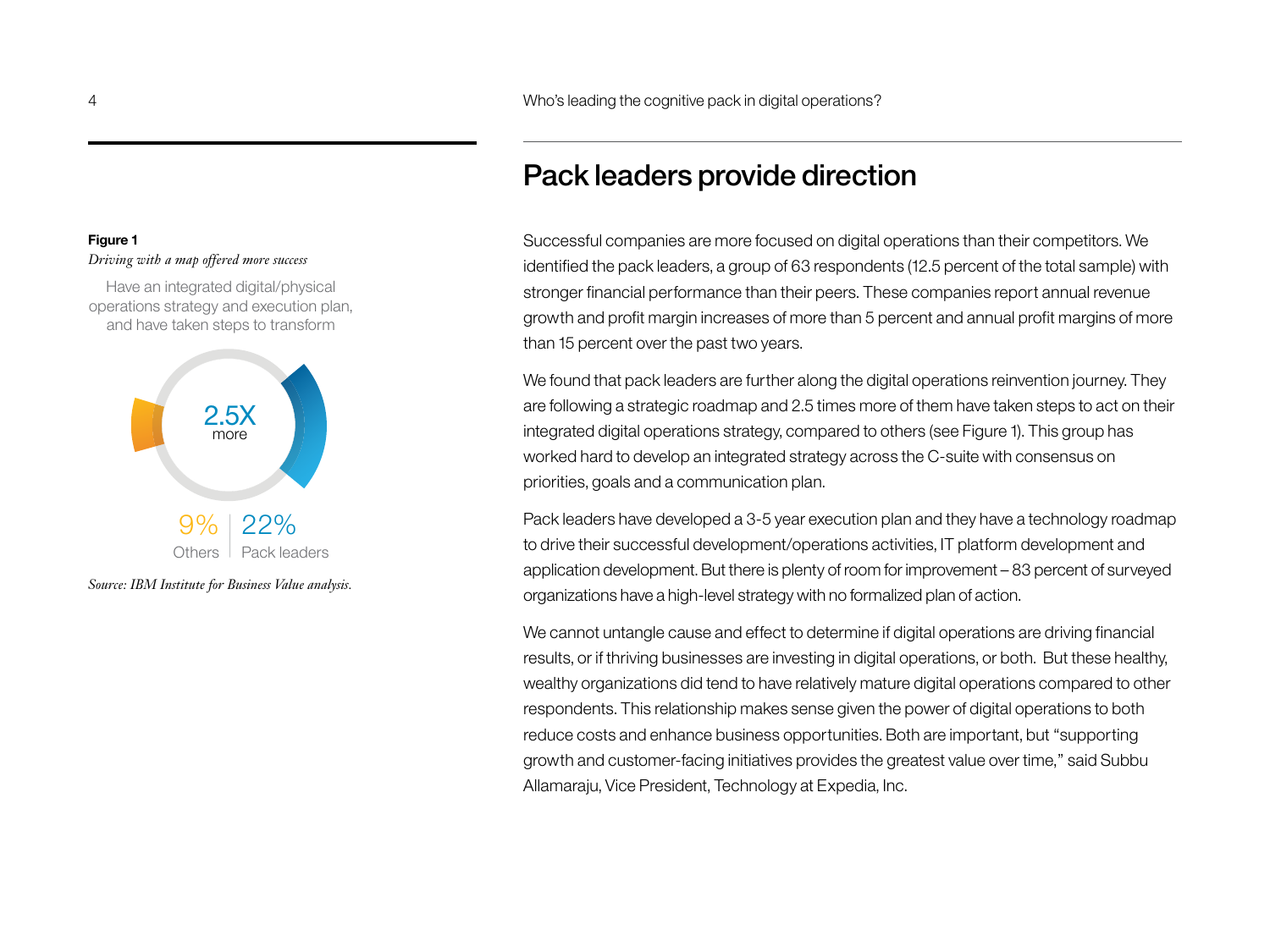# Pack leaders provide direction

Successful companies are more focused on digital operations than their competitors. We identified the pack leaders, a group of 63 respondents (12.5 percent of the total sample) with stronger financial performance than their peers. These companies report annual revenue growth and profit margin increases of more than 5 percent and annual profit margins of more than 15 percent over the past two years.

We found that pack leaders are further along the digital operations reinvention journey. They are following a strategic roadmap and 2.5 times more of them have taken steps to act on their integrated digital operations strategy, compared to others (see Figure 1). This group has worked hard to develop an integrated strategy across the C-suite with consensus on priorities, goals and a communication plan.

Pack leaders have developed a 3-5 year execution plan and they have a technology roadmap to drive their successful development/operations activities, IT platform development and application development. But there is plenty of room for improvement – 83 percent of surveyed organizations have a high-level strategy with no formalized plan of action.

We cannot untangle cause and effect to determine if digital operations are driving financial results, or if thriving businesses are investing in digital operations, or both. But these healthy, wealthy organizations did tend to have relatively mature digital operations compared to other respondents. This relationship makes sense given the power of digital operations to both reduce costs and enhance business opportunities. Both are important, but "supporting growth and customer-facing initiatives provides the greatest value over time," said Subbu Allamaraju, Vice President, Technology at Expedia, Inc.

## **Figure 1**

### *Driving with a map offered more success*

Have an integrated digital/physical operations strategy and execution plan, and have taken steps to transform

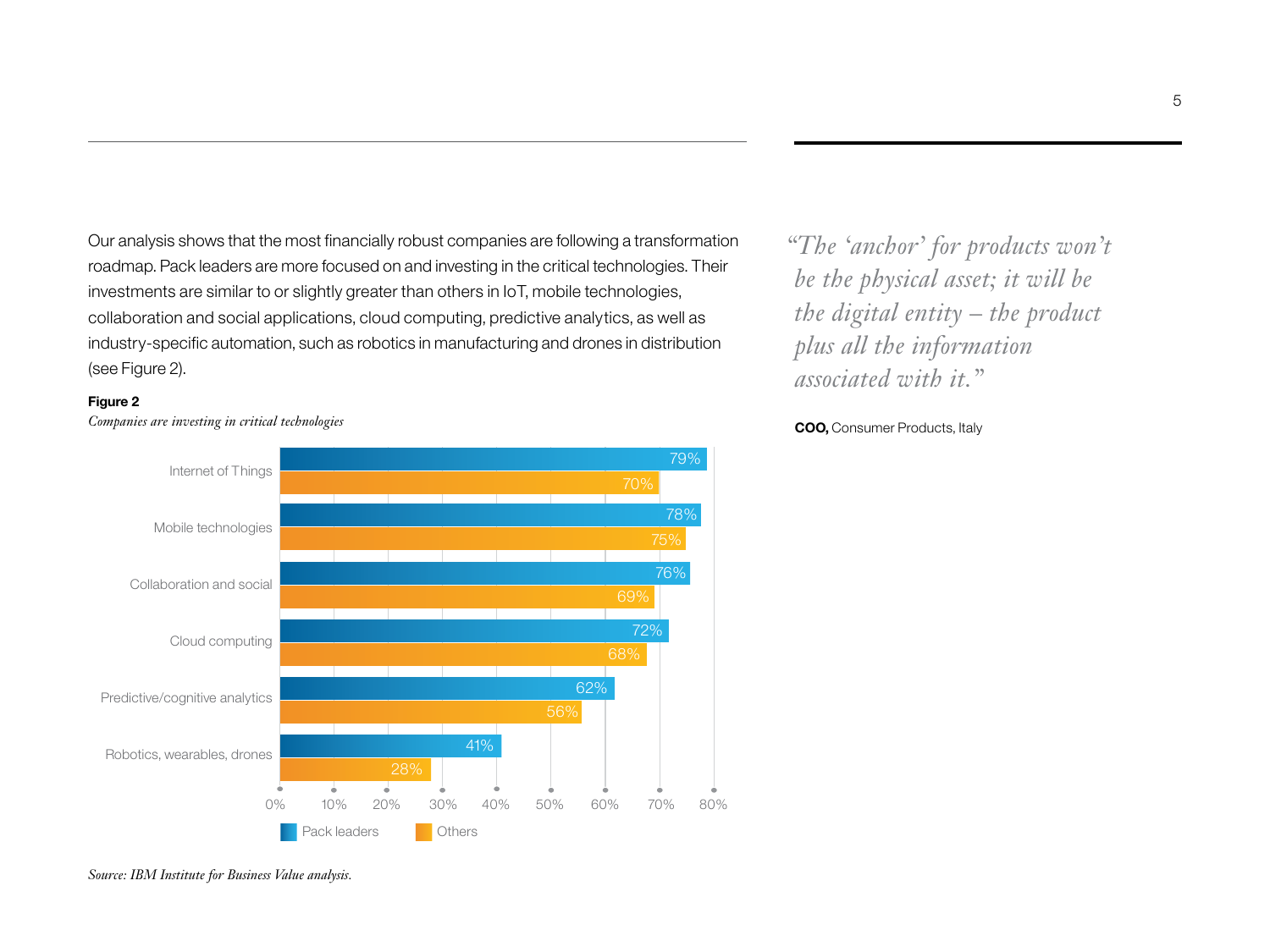Our analysis shows that the most financially robust companies are following a transformation roadmap. Pack leaders are more focused on and investing in the critical technologies. Their investments are similar to or slightly greater than others in IoT, mobile technologies, collaboration and social applications, cloud computing, predictive analytics, as well as industry-specific automation, such as robotics in manufacturing and drones in distribution (see Figure 2).

### **Figure 2**



*Companies are investing in critical technologies*

*"The 'anchor' for products won't be the physical asset; it will be the digital entity – the product plus all the information associated with it."*

**COO,** Consumer Products, Italy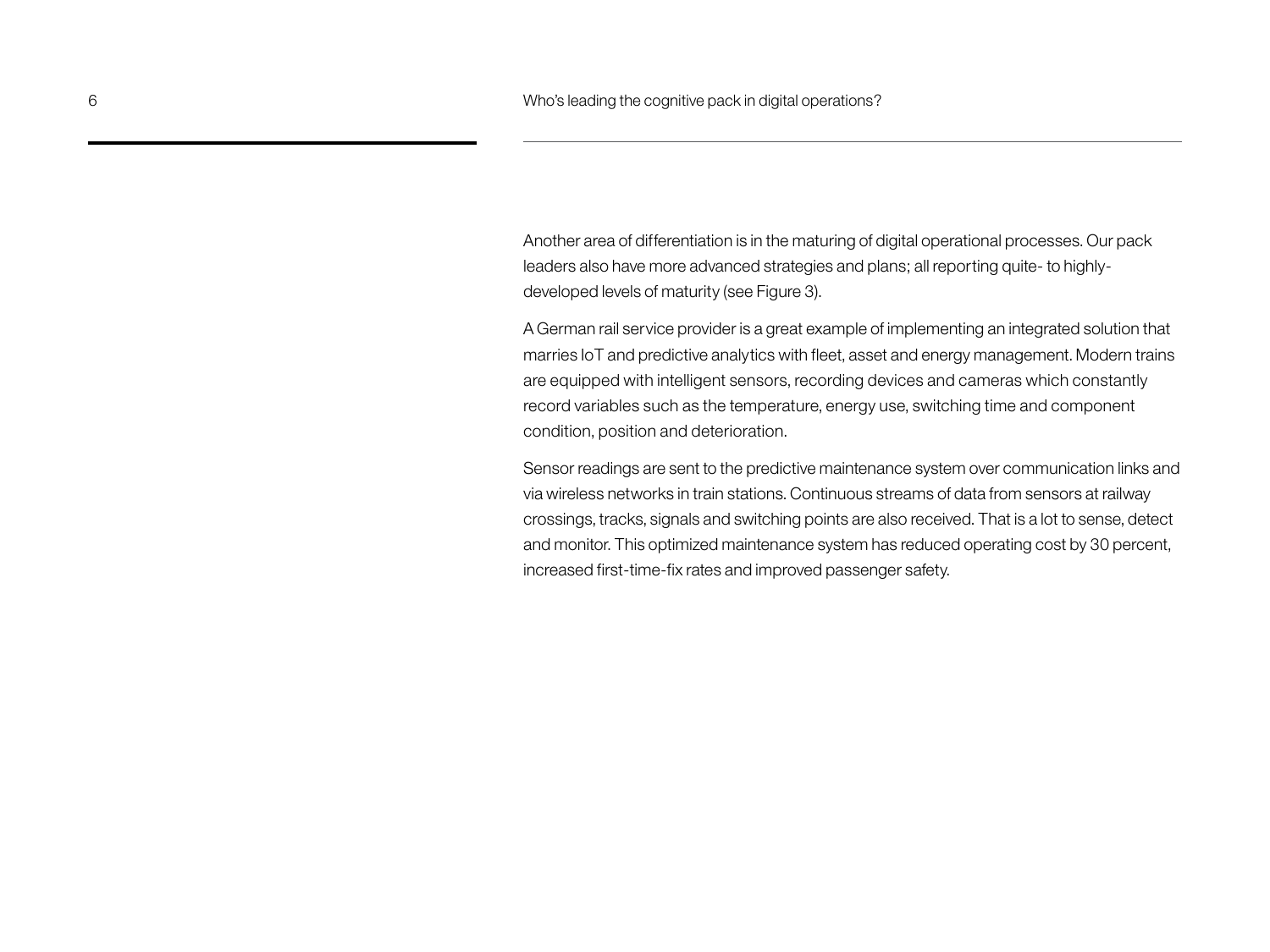Another area of differentiation is in the maturing of digital operational processes. Our pack leaders also have more advanced strategies and plans; all reporting quite- to highlydeveloped levels of maturity (see Figure 3).

A German rail service provider is a great example of implementing an integrated solution that marries IoT and predictive analytics with fleet, asset and energy management. Modern trains are equipped with intelligent sensors, recording devices and cameras which constantly record variables such as the temperature, energy use, switching time and component condition, position and deterioration.

Sensor readings are sent to the predictive maintenance system over communication links and via wireless networks in train stations. Continuous streams of data from sensors at railway crossings, tracks, signals and switching points are also received. That is a lot to sense, detect and monitor. This optimized maintenance system has reduced operating cost by 30 percent, increased first-time-fix rates and improved passenger safety.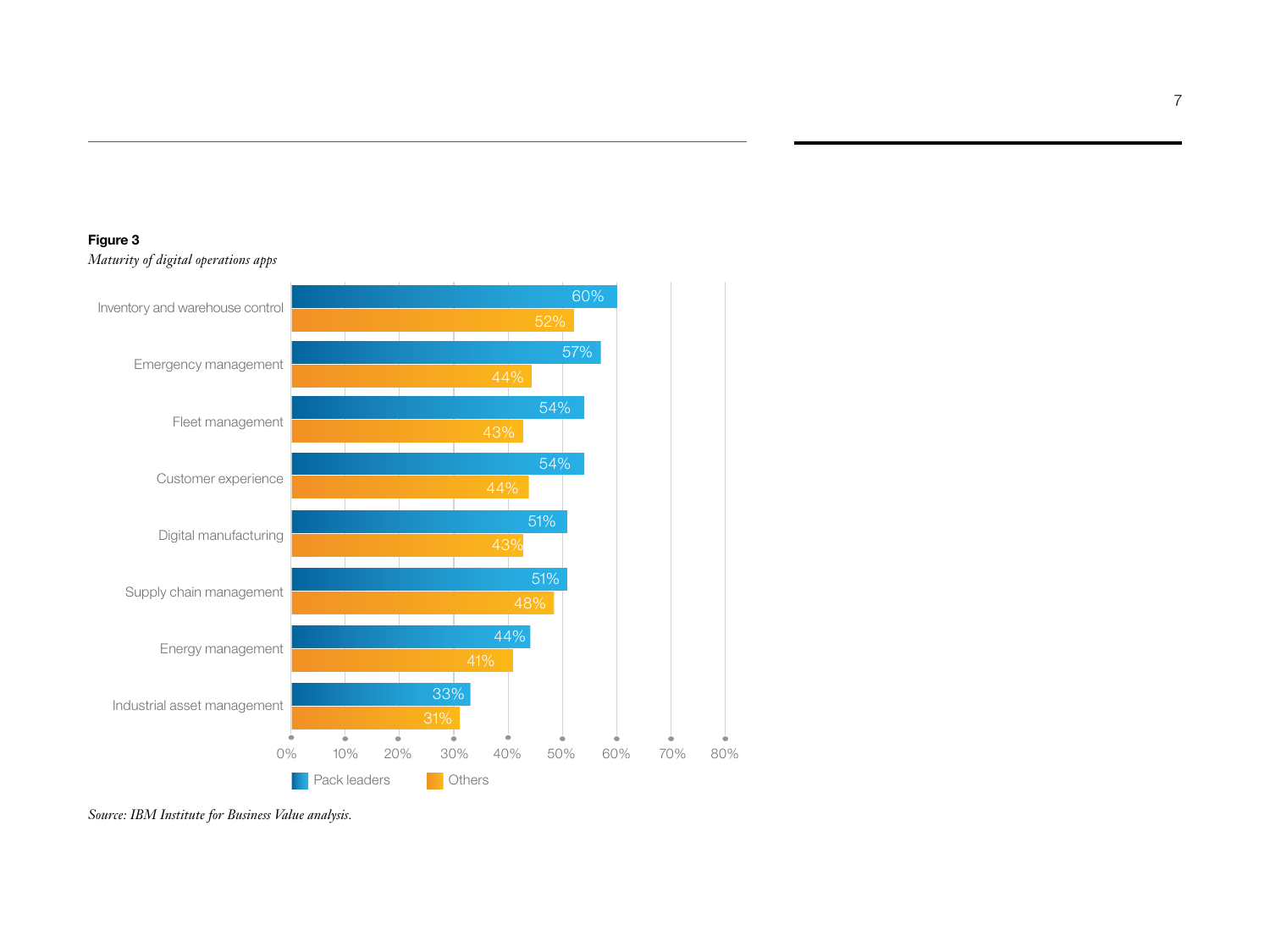## **Figure 3** *Maturity of digital operations apps*

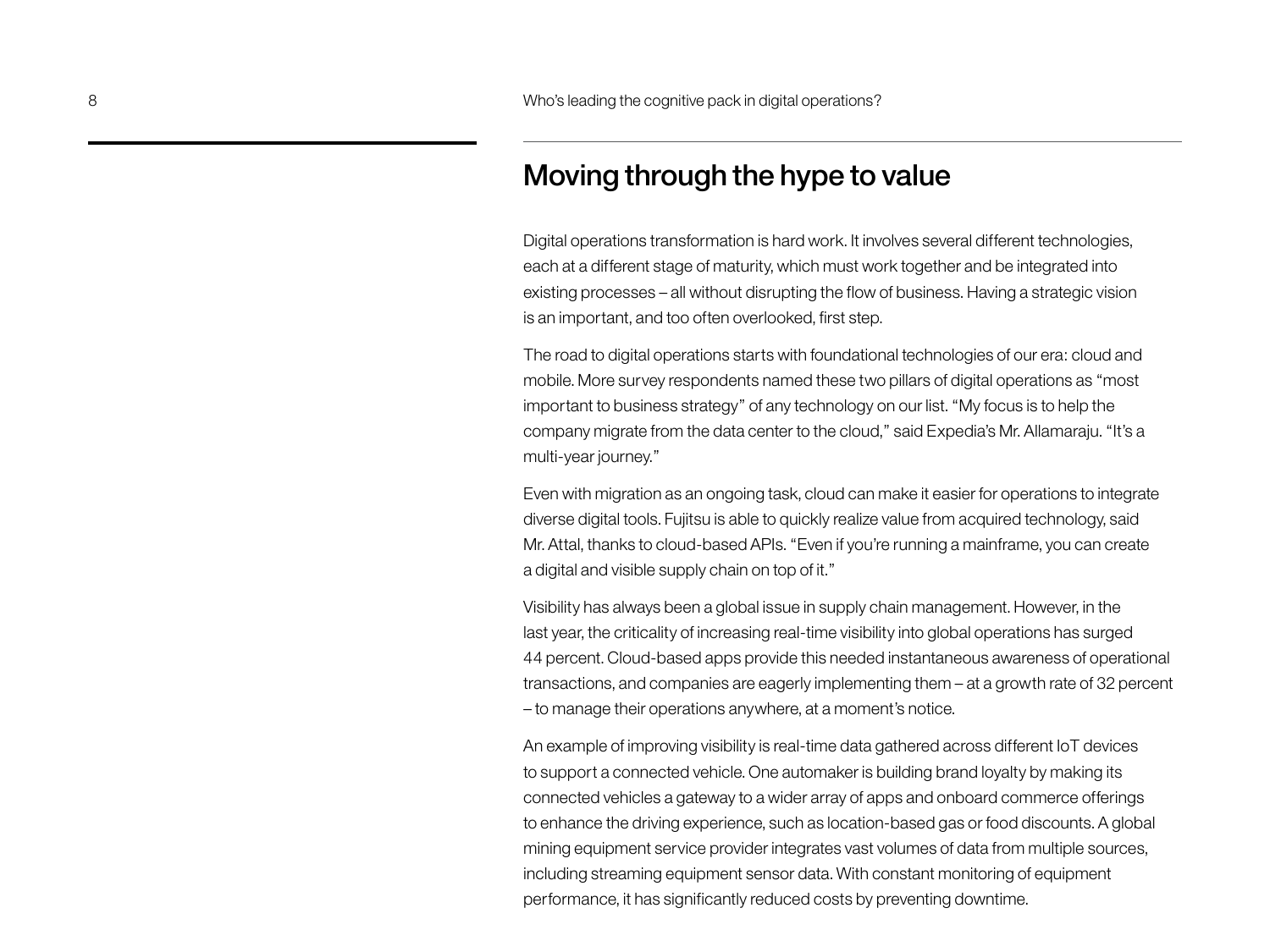# Moving through the hype to value

Digital operations transformation is hard work. It involves several different technologies, each at a different stage of maturity, which must work together and be integrated into existing processes – all without disrupting the flow of business. Having a strategic vision is an important, and too often overlooked, first step.

The road to digital operations starts with foundational technologies of our era: cloud and mobile. More survey respondents named these two pillars of digital operations as "most important to business strategy" of any technology on our list. "My focus is to help the company migrate from the data center to the cloud," said Expedia's Mr. Allamaraju. "It's a multi-year journey."

Even with migration as an ongoing task, cloud can make it easier for operations to integrate diverse digital tools. Fujitsu is able to quickly realize value from acquired technology, said Mr. Attal, thanks to cloud-based APIs. "Even if you're running a mainframe, you can create a digital and visible supply chain on top of it."

Visibility has always been a global issue in supply chain management. However, in the last year, the criticality of increasing real-time visibility into global operations has surged 44 percent. Cloud-based apps provide this needed instantaneous awareness of operational transactions, and companies are eagerly implementing them – at a growth rate of 32 percent – to manage their operations anywhere, at a moment's notice.

An example of improving visibility is real-time data gathered across different IoT devices to support a connected vehicle. One automaker is building brand loyalty by making its connected vehicles a gateway to a wider array of apps and onboard commerce offerings to enhance the driving experience, such as location-based gas or food discounts. A global mining equipment service provider integrates vast volumes of data from multiple sources, including streaming equipment sensor data. With constant monitoring of equipment performance, it has significantly reduced costs by preventing downtime.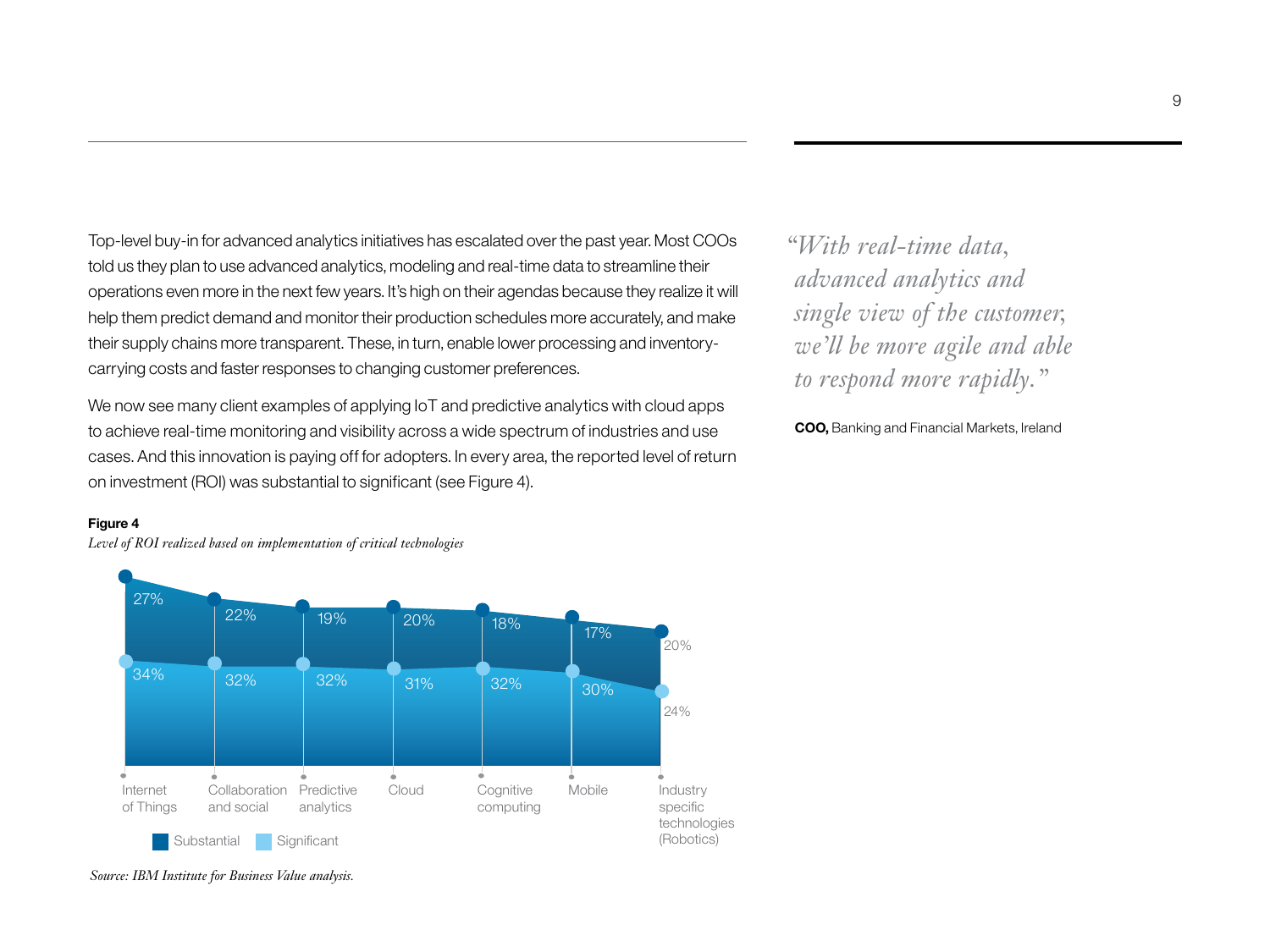Top-level buy-in for advanced analytics initiatives has escalated over the past year. Most COOs told us they plan to use advanced analytics, modeling and real-time data to streamline their operations even more in the next few years. It's high on their agendas because they realize it will help them predict demand and monitor their production schedules more accurately, and make their supply chains more transparent. These, in turn, enable lower processing and inventorycarrying costs and faster responses to changing customer preferences.

We now see many client examples of applying IoT and predictive analytics with cloud apps to achieve real-time monitoring and visibility across a wide spectrum of industries and use cases. And this innovation is paying off for adopters. In every area, the reported level of return on investment (ROI) was substantial to significant (see Figure 4).

#### **Figure 4**

*Level of ROI realized based on implementation of critical technologies*



*"With real-time data, advanced analytics and single view of the customer, we'll be more agile and able to respond more rapidly."*

**COO,** Banking and Financial Markets, Ireland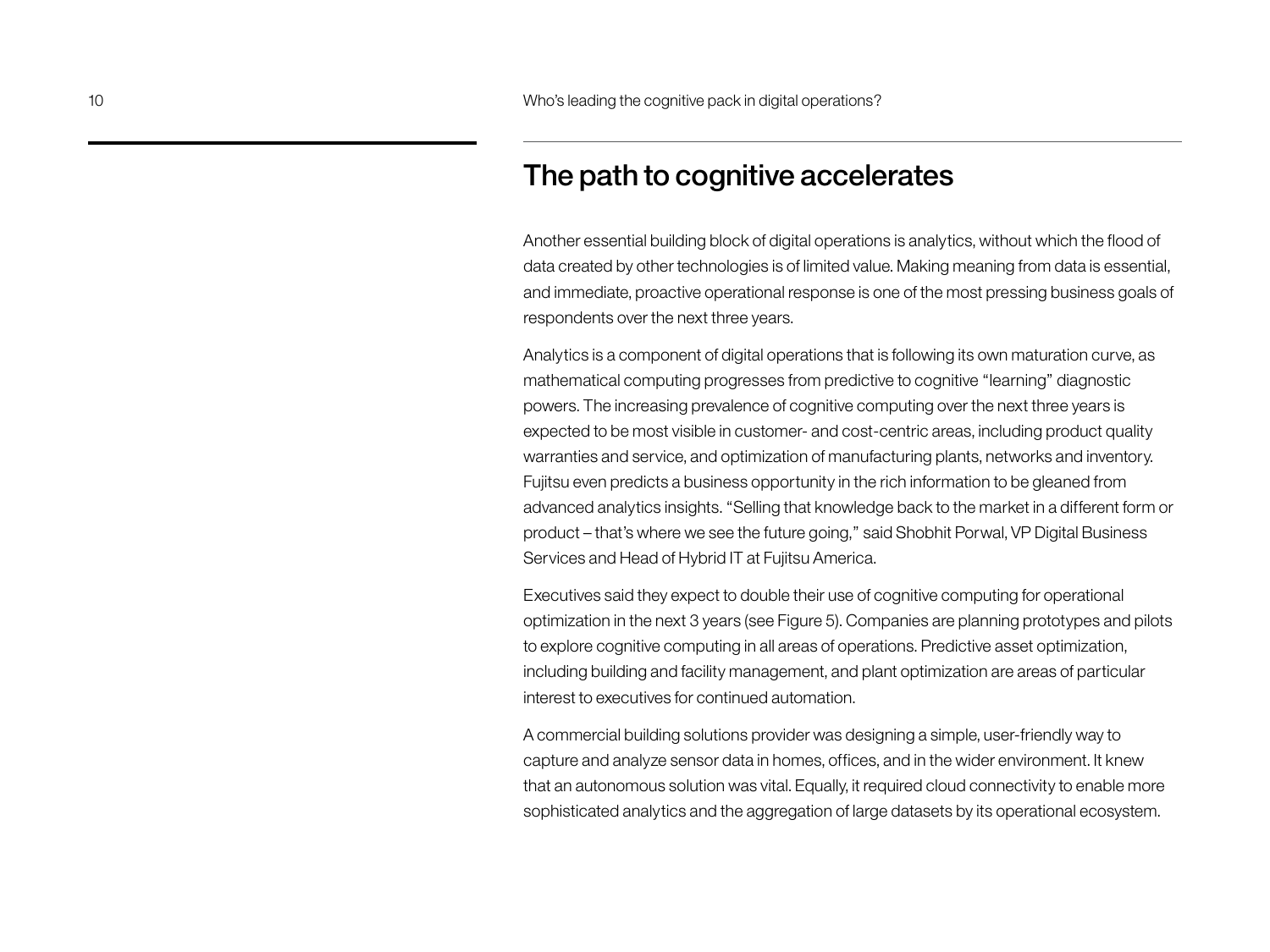## The path to cognitive accelerates

Another essential building block of digital operations is analytics, without which the flood of data created by other technologies is of limited value. Making meaning from data is essential, and immediate, proactive operational response is one of the most pressing business goals of respondents over the next three years.

Analytics is a component of digital operations that is following its own maturation curve, as mathematical computing progresses from predictive to cognitive "learning" diagnostic powers. The increasing prevalence of cognitive computing over the next three years is expected to be most visible in customer- and cost-centric areas, including product quality warranties and service, and optimization of manufacturing plants, networks and inventory. Fujitsu even predicts a business opportunity in the rich information to be gleaned from advanced analytics insights. "Selling that knowledge back to the market in a different form or product – that's where we see the future going," said Shobhit Porwal, VP Digital Business Services and Head of Hybrid IT at Fujitsu America.

Executives said they expect to double their use of cognitive computing for operational optimization in the next 3 years (see Figure 5). Companies are planning prototypes and pilots to explore cognitive computing in all areas of operations. Predictive asset optimization, including building and facility management, and plant optimization are areas of particular interest to executives for continued automation.

A commercial building solutions provider was designing a simple, user-friendly way to capture and analyze sensor data in homes, offices, and in the wider environment. It knew that an autonomous solution was vital. Equally, it required cloud connectivity to enable more sophisticated analytics and the aggregation of large datasets by its operational ecosystem.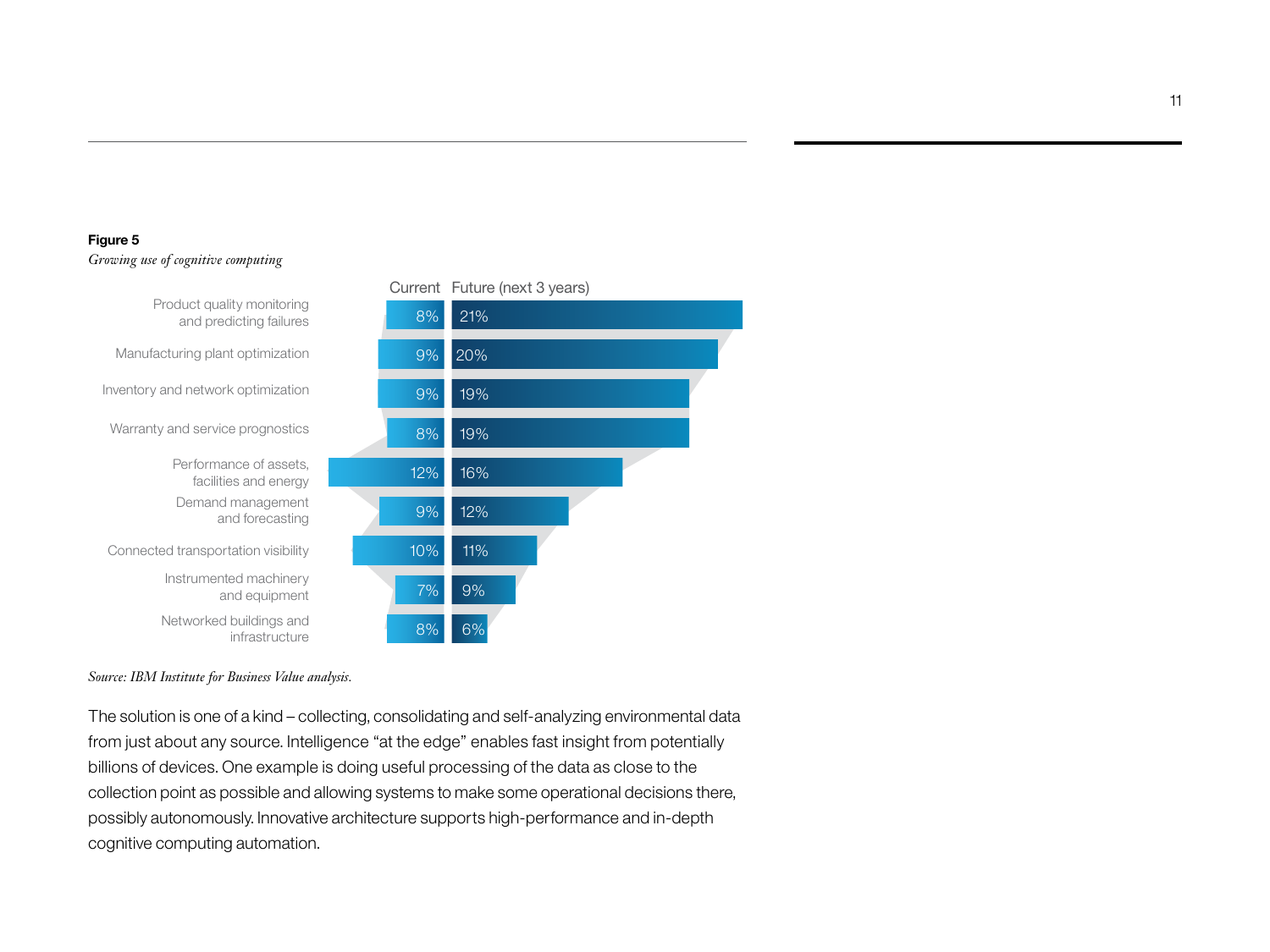## **Figure 5** *Growing use of cognitive computing*



*Source: IBM Institute for Business Value analysis.*

The solution is one of a kind – collecting, consolidating and self-analyzing environmental data from just about any source. Intelligence "at the edge" enables fast insight from potentially billions of devices. One example is doing useful processing of the data as close to the collection point as possible and allowing systems to make some operational decisions there, possibly autonomously. Innovative architecture supports high-performance and in-depth cognitive computing automation.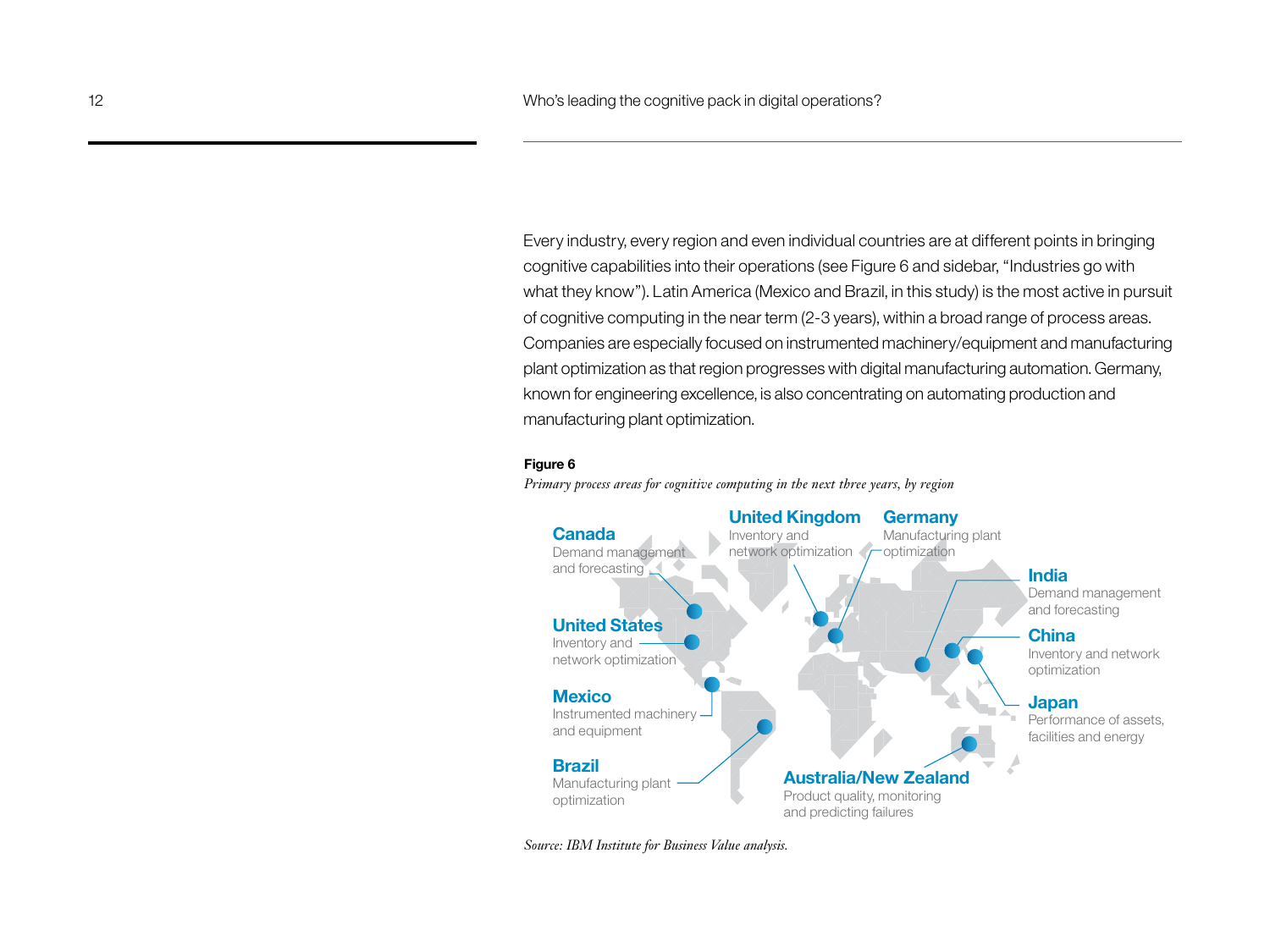Every industry, every region and even individual countries are at different points in bringing cognitive capabilities into their operations (see Figure 6 and sidebar, "Industries go with what they know"). Latin America (Mexico and Brazil, in this study) is the most active in pursuit of cognitive computing in the near term (2-3 years), within a broad range of process areas. Companies are especially focused on instrumented machinery/equipment and manufacturing plant optimization as that region progresses with digital manufacturing automation. Germany, known for engineering excellence, is also concentrating on automating production and manufacturing plant optimization.

#### **Figure 6**

<sup>2</sup><br>Primary process areas for cognitive computing in the next three years, by region

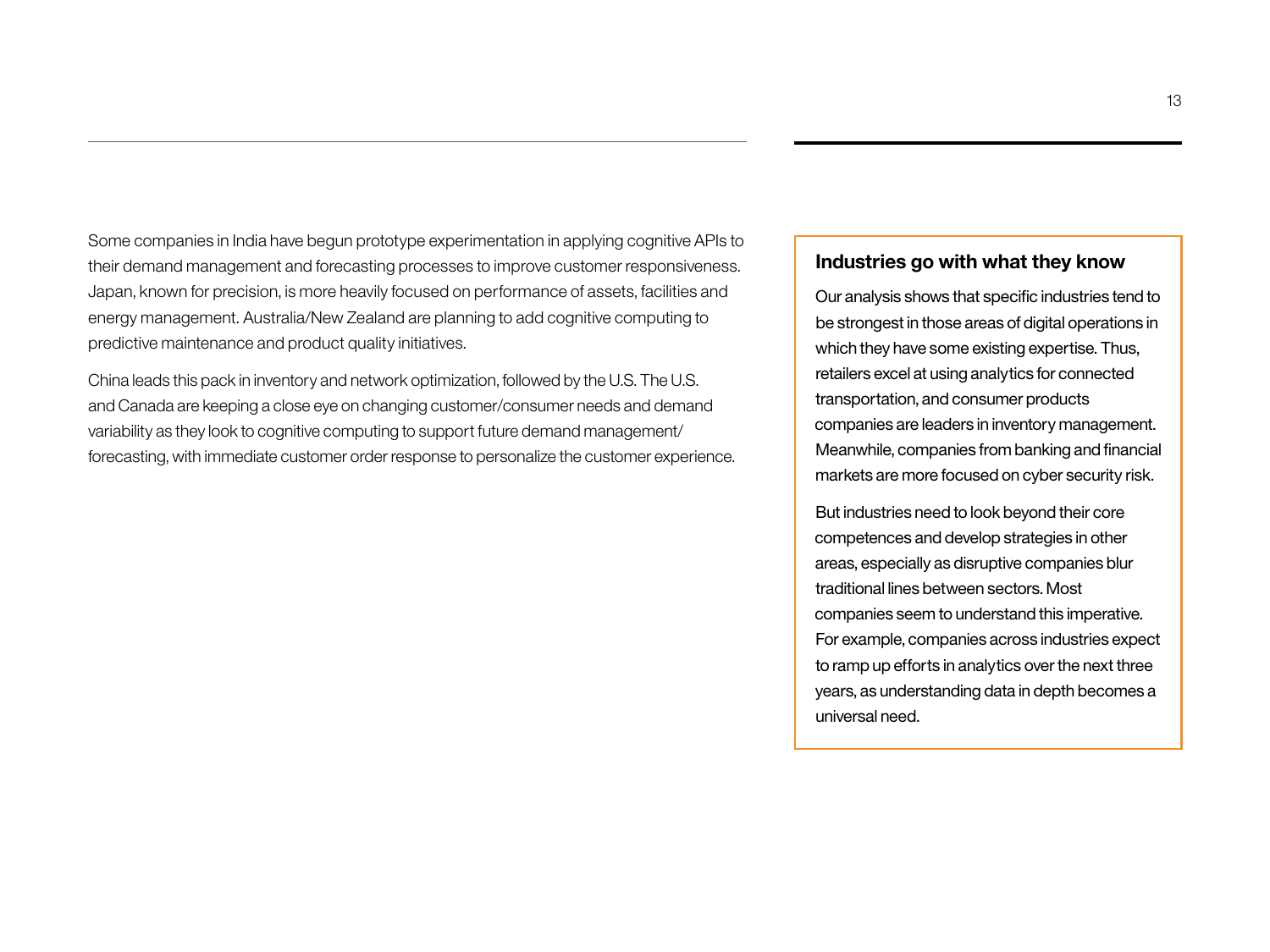Some companies in India have begun prototype experimentation in applying cognitive APIs to their demand management and forecasting processes to improve customer responsiveness. Japan, known for precision, is more heavily focused on performance of assets, facilities and energy management. Australia/New Zealand are planning to add cognitive computing to predictive maintenance and product quality initiatives.

China leads this pack in inventory and network optimization, followed by the U.S. The U.S. and Canada are keeping a close eye on changing customer/consumer needs and demand variability as they look to cognitive computing to support future demand management/ forecasting, with immediate customer order response to personalize the customer experience.

## **Industries go with what they know**

Our analysis shows that specific industries tend to be strongest in those areas of digital operations in which they have some existing expertise. Thus, retailers excel at using analytics for connected transportation, and consumer products companies are leaders in inventory management. Meanwhile, companies from banking and financial markets are more focused on cyber security risk.

But industries need to look beyond their core competences and develop strategies in other areas, especially as disruptive companies blur traditional lines between sectors. Most companies seem to understand this imperative. For example, companies across industries expect to ramp up efforts in analytics over the next three years, as understanding data in depth becomes a universal need.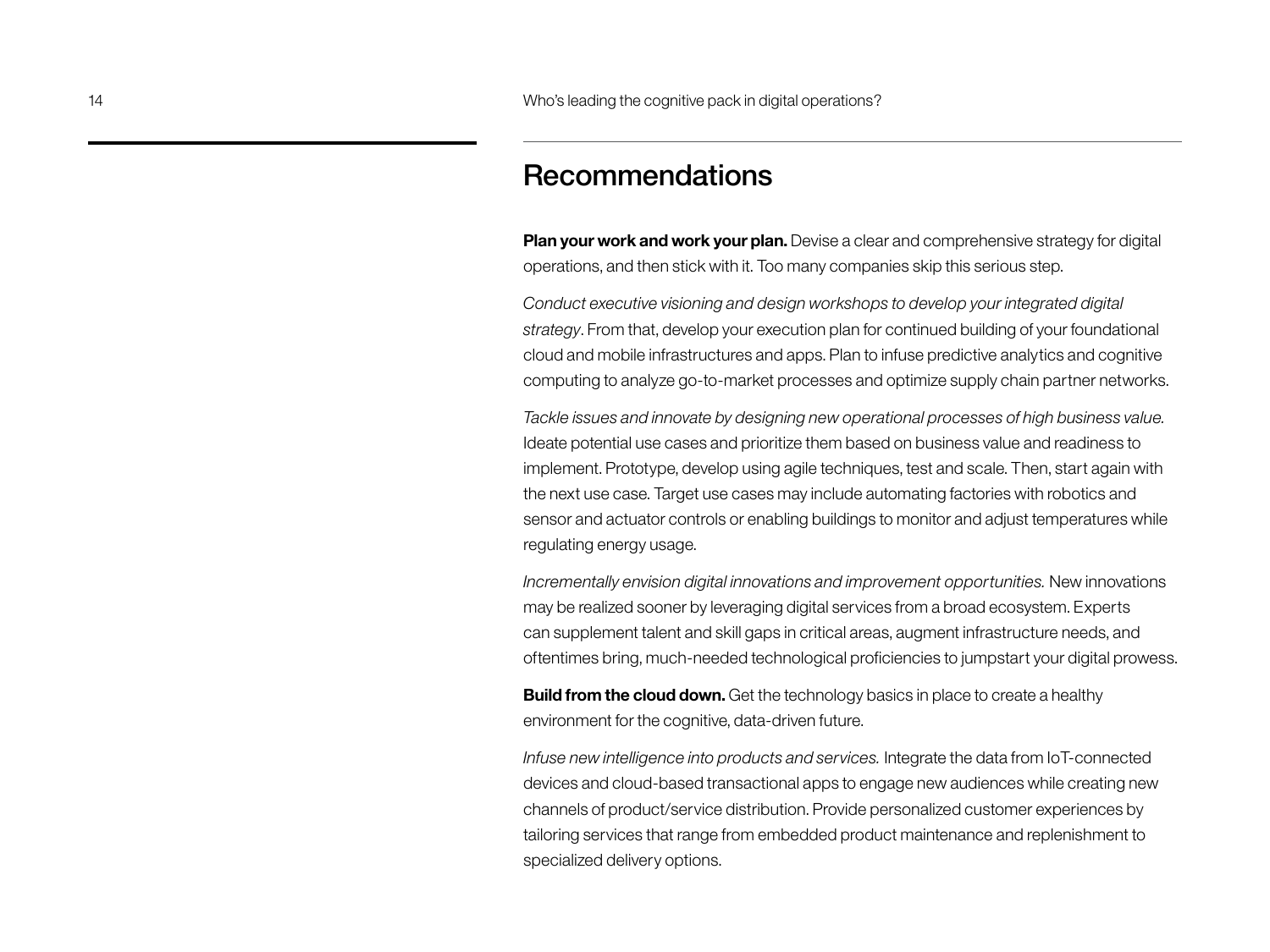## Recommendations

**Plan your work and work your plan.** Devise a clear and comprehensive strategy for digital operations, and then stick with it. Too many companies skip this serious step.

*Conduct executive visioning and design workshops to develop your integrated digital strategy*. From that, develop your execution plan for continued building of your foundational cloud and mobile infrastructures and apps. Plan to infuse predictive analytics and cognitive computing to analyze go-to-market processes and optimize supply chain partner networks.

*Tackle issues and innovate by designing new operational processes of high business value.* Ideate potential use cases and prioritize them based on business value and readiness to implement. Prototype, develop using agile techniques, test and scale. Then, start again with the next use case. Target use cases may include automating factories with robotics and sensor and actuator controls or enabling buildings to monitor and adjust temperatures while regulating energy usage.

*Incrementally envision digital innovations and improvement opportunities.* New innovations may be realized sooner by leveraging digital services from a broad ecosystem. Experts can supplement talent and skill gaps in critical areas, augment infrastructure needs, and oftentimes bring, much-needed technological proficiencies to jumpstart your digital prowess.

**Build from the cloud down.** Get the technology basics in place to create a healthy environment for the cognitive, data-driven future.

*Infuse new intelligence into products and services.* Integrate the data from IoT-connected devices and cloud-based transactional apps to engage new audiences while creating new channels of product/service distribution. Provide personalized customer experiences by tailoring services that range from embedded product maintenance and replenishment to specialized delivery options.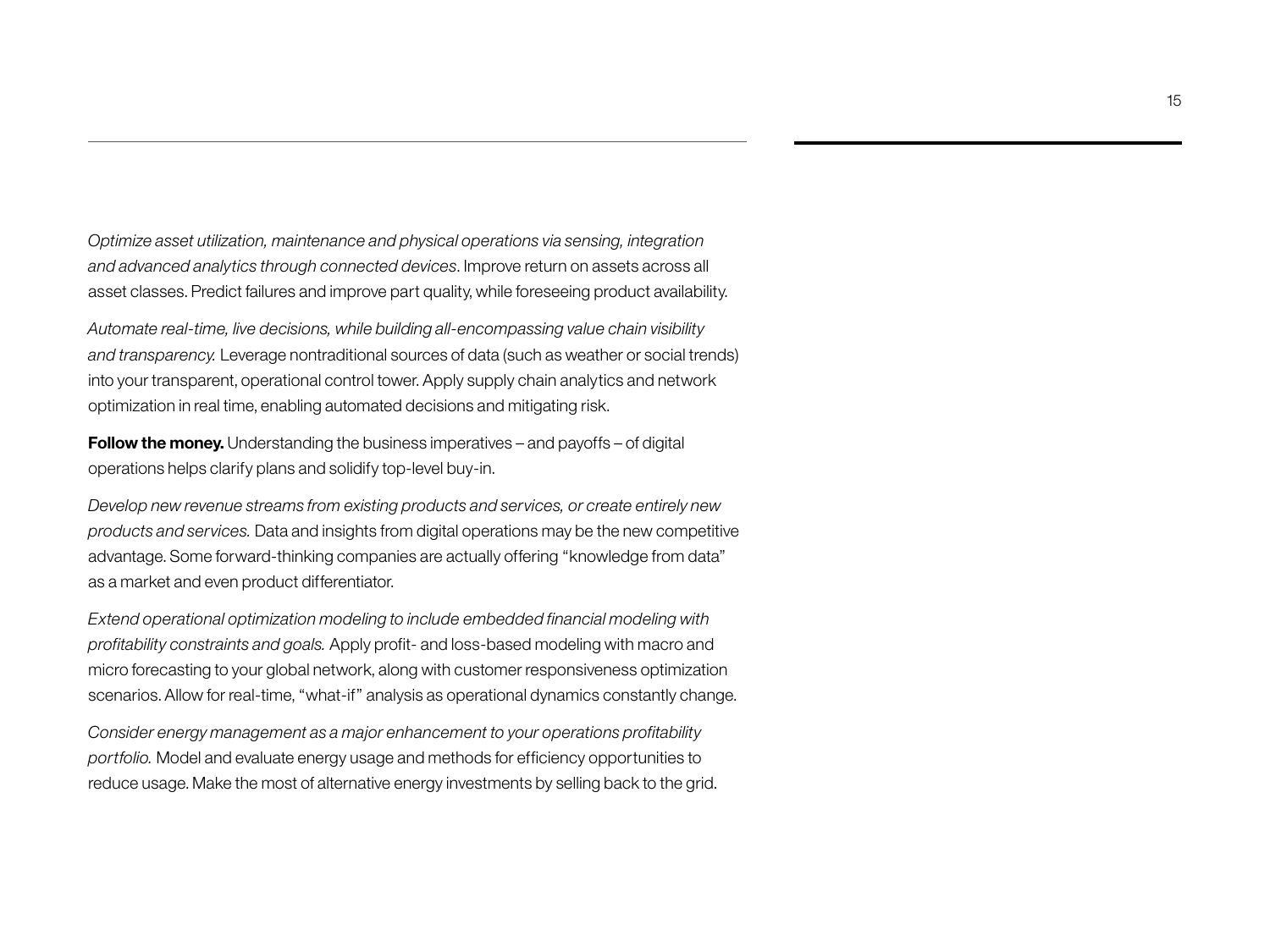*Optimize asset utilization, maintenance and physical operations via sensing, integration and advanced analytics through connected devices*. Improve return on assets across all asset classes. Predict failures and improve part quality, while foreseeing product availability.

*Automate real-time, live decisions, while building all-encompassing value chain visibility and transparency.* Leverage nontraditional sources of data (such as weather or social trends) into your transparent, operational control tower. Apply supply chain analytics and network optimization in real time, enabling automated decisions and mitigating risk.

**Follow the money.** Understanding the business imperatives – and payoffs – of digital operations helps clarify plans and solidify top-level buy-in.

*Develop new revenue streams from existing products and services, or create entirely new products and services.* Data and insights from digital operations may be the new competitive advantage. Some forward-thinking companies are actually offering "knowledge from data" as a market and even product differentiator.

*Extend operational optimization modeling to include embedded financial modeling with profitability constraints and goals.* Apply profit- and loss-based modeling with macro and micro forecasting to your global network, along with customer responsiveness optimization scenarios. Allow for real-time, "what-if" analysis as operational dynamics constantly change.

*Consider energy management as a major enhancement to your operations profitability portfolio.* Model and evaluate energy usage and methods for efficiency opportunities to reduce usage. Make the most of alternative energy investments by selling back to the grid.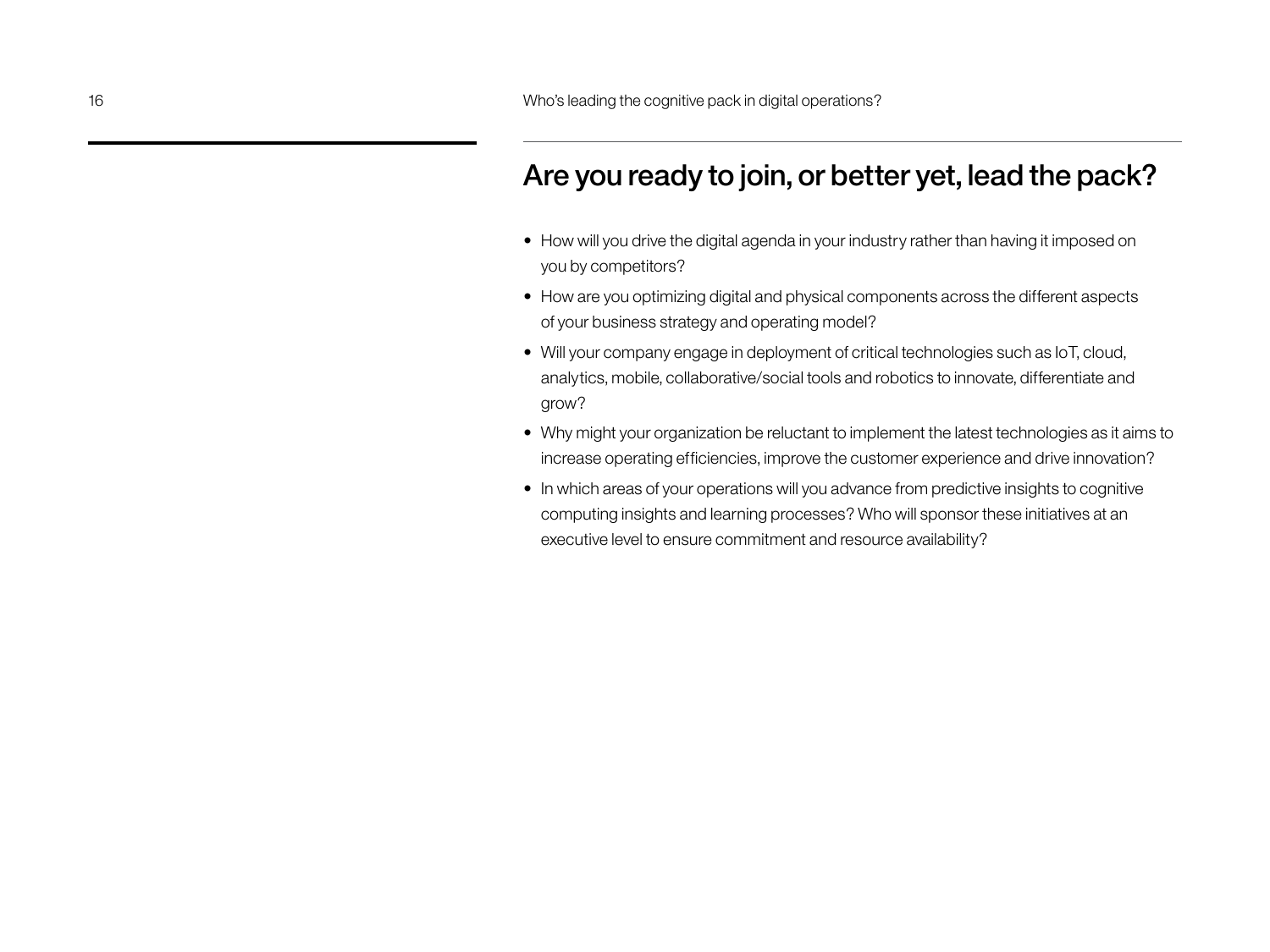# Are you ready to join, or better yet, lead the pack?

- How will you drive the digital agenda in your industry rather than having it imposed on you by competitors?
- How are you optimizing digital and physical components across the different aspects of your business strategy and operating model?
- Will your company engage in deployment of critical technologies such as IoT, cloud, analytics, mobile, collaborative/social tools and robotics to innovate, differentiate and grow?
- Why might your organization be reluctant to implement the latest technologies as it aims to increase operating efficiencies, improve the customer experience and drive innovation?
- In which areas of your operations will you advance from predictive insights to cognitive computing insights and learning processes? Who will sponsor these initiatives at an executive level to ensure commitment and resource availability?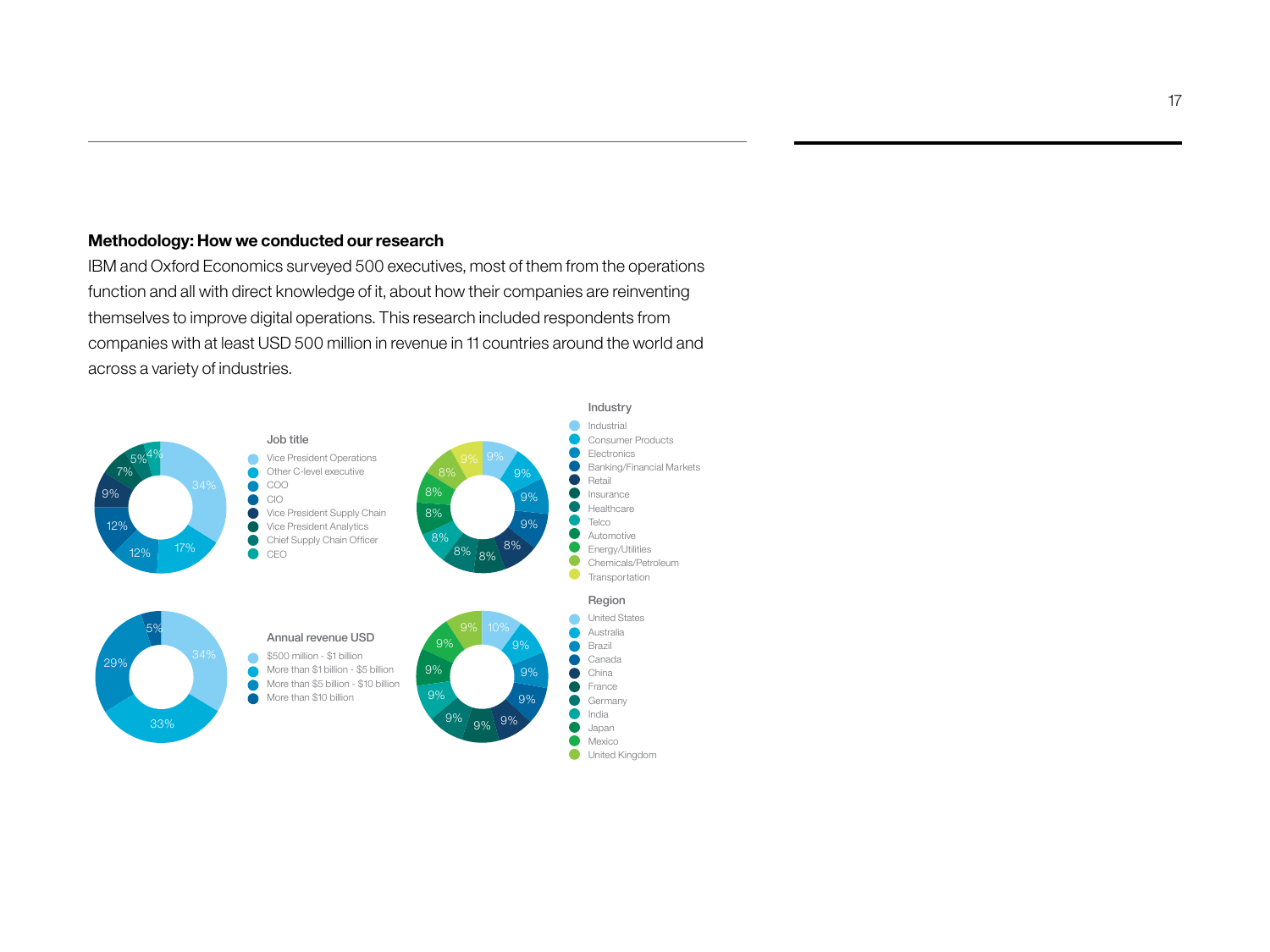### **Methodology: How we conducted our research**

IBM and Oxford Economics surveyed 500 executives, most of them from the operations function and all with direct knowledge of it, about how their companies are reinventing themselves to improve digital operations. This research included respondents from companies with at least USD 500 million in revenue in 11 countries around the world and across a variety of industries.

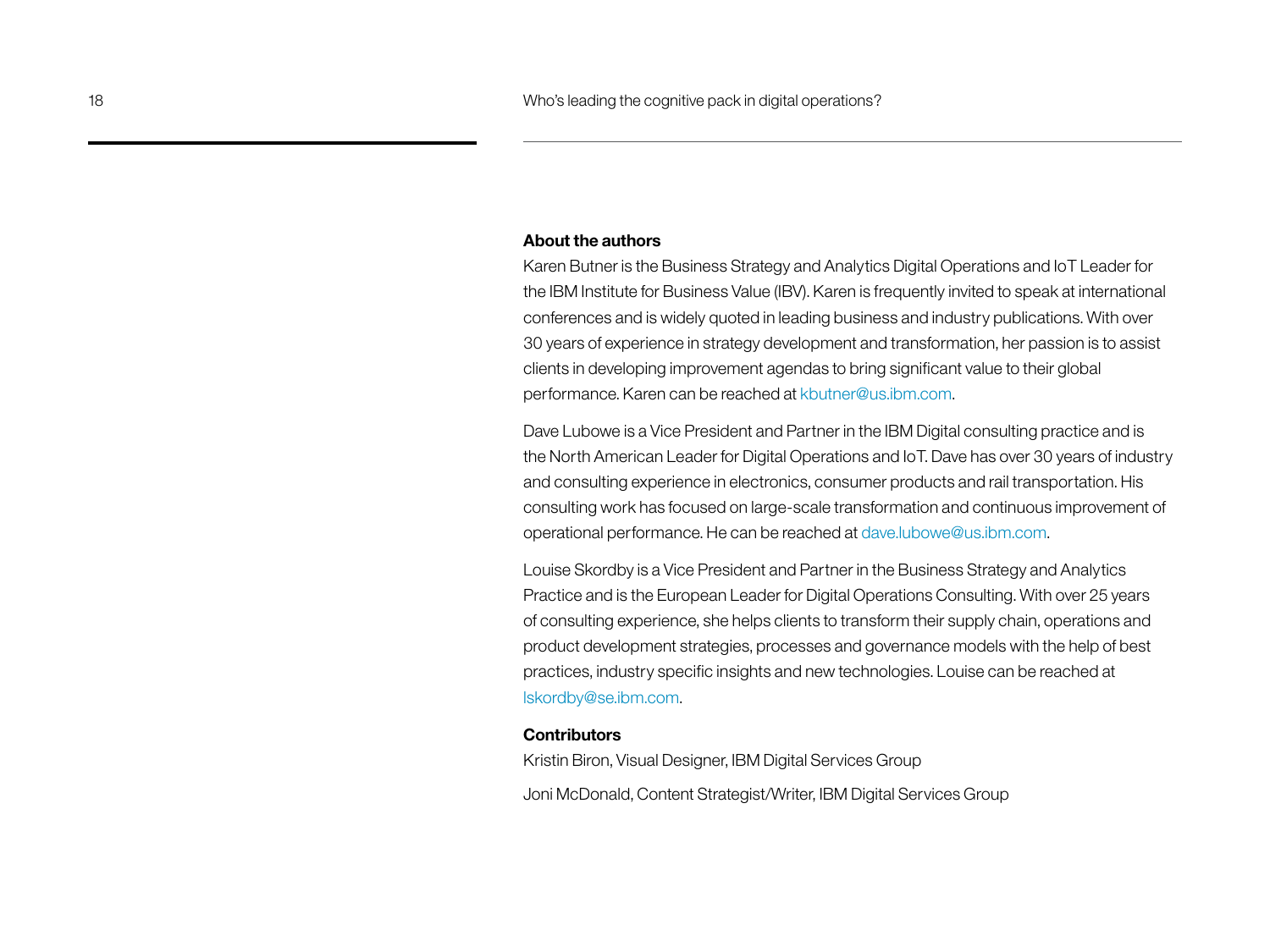### **About the authors**

Karen Butner is the Business Strategy and Analytics Digital Operations and IoT Leader for the IBM Institute for Business Value (IBV). Karen is frequently invited to speak at international conferences and is widely quoted in leading business and industry publications. With over 30 years of experience in strategy development and transformation, her passion is to assist clients in developing improvement agendas to bring significant value to their global performance. Karen can be reached at [kbutner@us.ibm.com.](mailto:kbutner@us.ibm.com)

Dave Lubowe is a Vice President and Partner in the IBM Digital consulting practice and is the North American Leader for Digital Operations and IoT. Dave has over 30 years of industry and consulting experience in electronics, consumer products and rail transportation. His consulting work has focused on large-scale transformation and continuous improvement of operational performance. He can be reached at [dave.lubowe@us.ibm.com](mailto:dave.lubowe@us.ibm.com).

Louise Skordby is a Vice President and Partner in the Business Strategy and Analytics Practice and is the European Leader for Digital Operations Consulting. With over 25 years of consulting experience, she helps clients to transform their supply chain, operations and product development strategies, processes and governance models with the help of best practices, industry specific insights and new technologies. Louise can be reached at [lskordby@se.ibm.com.](mailto:lskordby@se.ibm.com)

### **Contributors**

Kristin Biron, Visual Designer, IBM Digital Services Group

Joni McDonald, Content Strategist/Writer, IBM Digital Services Group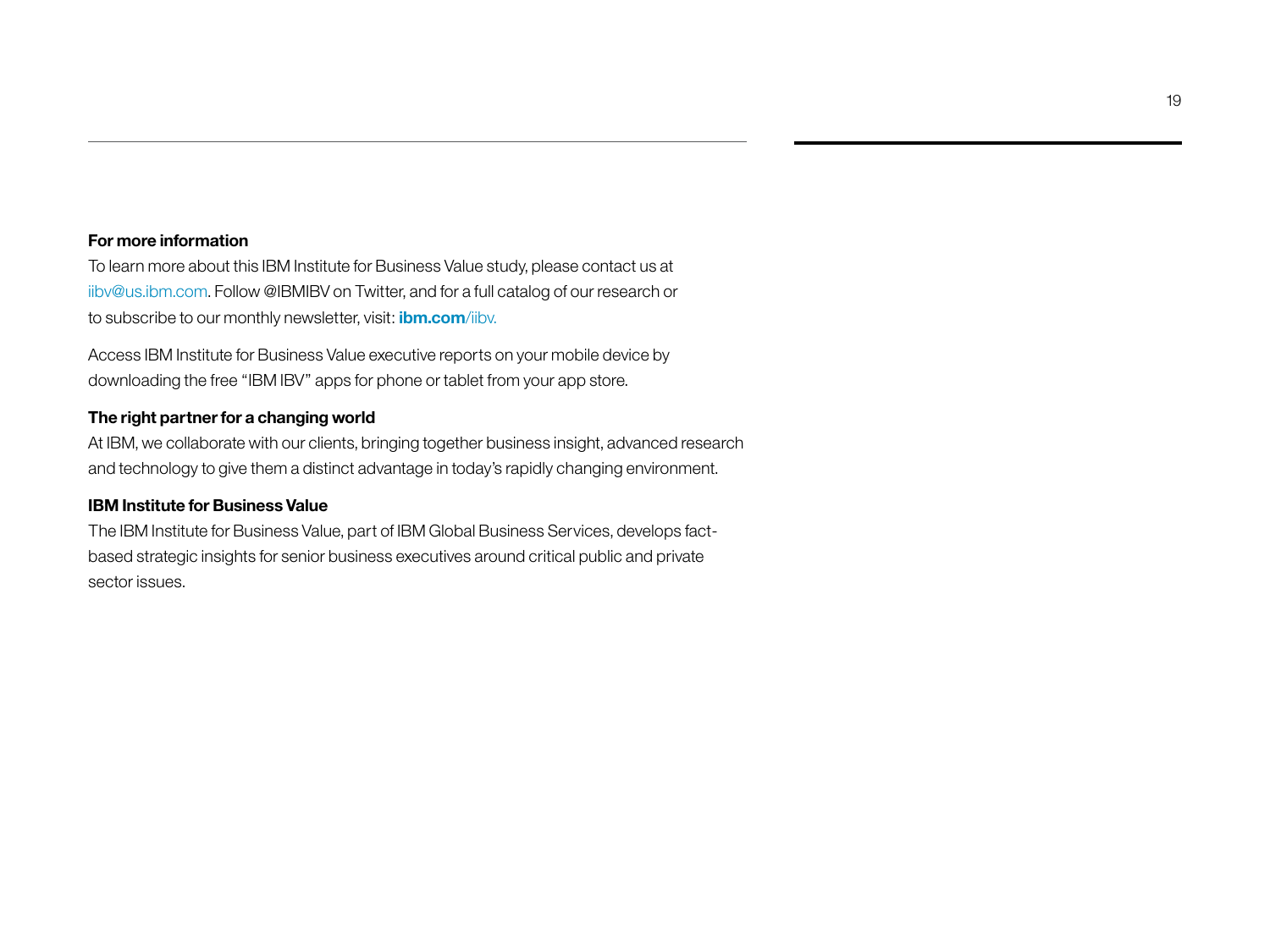### **For more information**

To learn more about this IBM Institute for Business Value study, please contact us at [iibv@us.ibm.com](mailto:iibv@us.ibm.com). Follow @IBMIBV on Twitter, and for a full catalog of our research or to subscribe to our monthly newsletter, visit: **[ibm.com](ibm.com/iibv)**/iibv.

Access IBM Institute for Business Value executive reports on your mobile device by downloading the free "IBM IBV" apps for phone or tablet from your app store.

## **The right partner for a changing world**

At IBM, we collaborate with our clients, bringing together business insight, advanced research and technology to give them a distinct advantage in today's rapidly changing environment.

### **IBM Institute for Business Value**

The IBM Institute for Business Value, part of IBM Global Business Services, develops factbased strategic insights for senior business executives around critical public and private sector issues.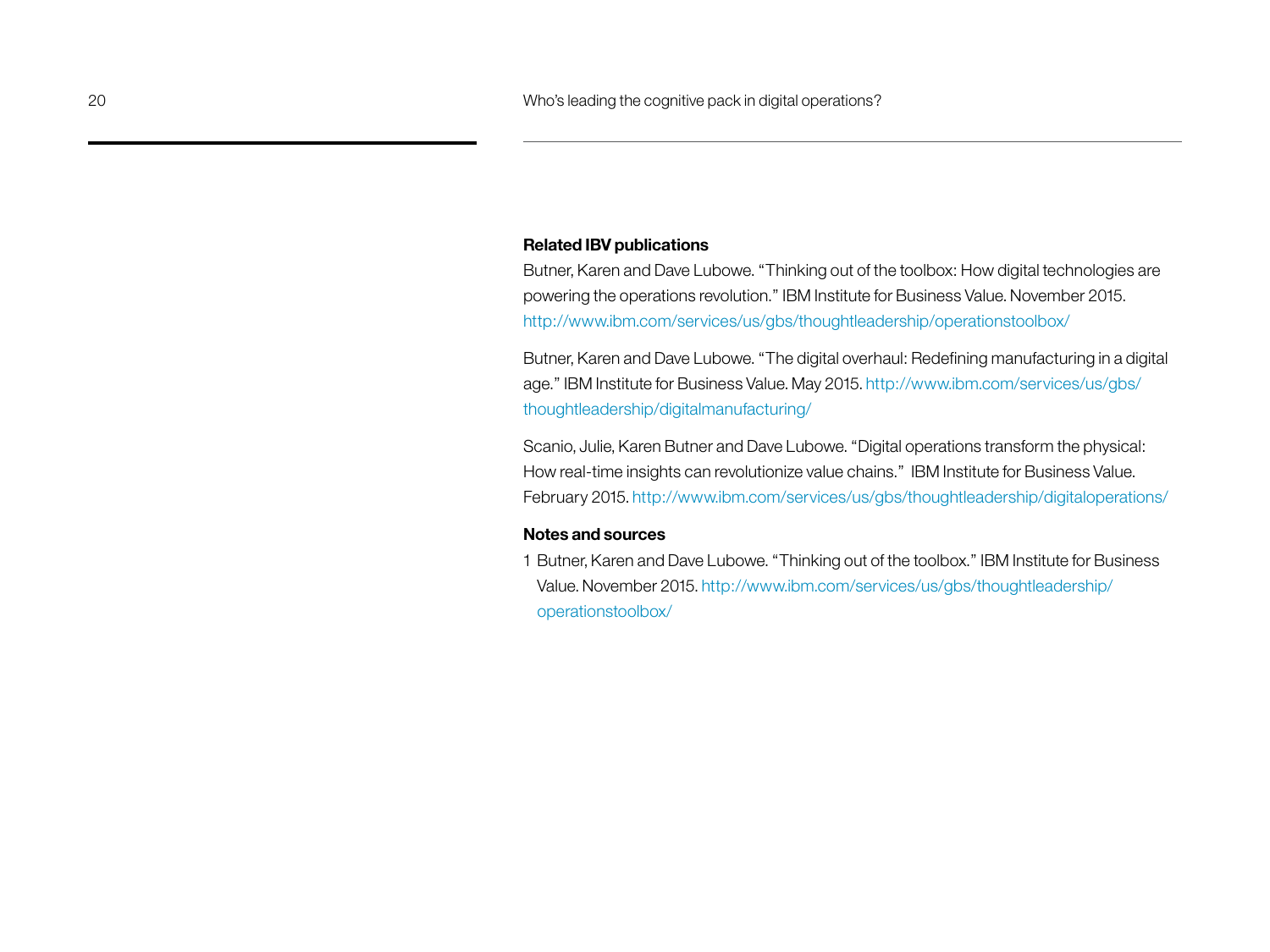#### **Related IBV publications**

Butner, Karen and Dave Lubowe. "Thinking out of the toolbox: How digital technologies are powering the operations revolution." IBM Institute for Business Value. November 2015. [http://www.ibm.com/services/us/gbs/thoughtleadership/operationstoolbox/](http://www.ibm.com/services/us/gbs/thoughtleadership/operationstoolbox)

Butner, Karen and Dave Lubowe. "The digital overhaul: Redefining manufacturing in a digital age." IBM Institute for Business Value. May 2015. [http://www.ibm.com/services/us/gbs/](http://www.ibm.com/services/us/gbs/thoughtleadership/digitalmanufacturing) [thoughtleadership/digitalmanufacturing](http://www.ibm.com/services/us/gbs/thoughtleadership/digitalmanufacturing)/

Scanio, Julie, Karen Butner and Dave Lubowe. "Digital operations transform the physical: How real-time insights can revolutionize value chains." IBM Institute for Business Value. February 2015.<http://www.ibm.com/services/us/gbs/thoughtleadership/digitaloperations>/

### **Notes and sources**

1 Butner, Karen and Dave Lubowe. "Thinking out of the toolbox." IBM Institute for Business Value. November 2015. [http://www.ibm.com/services/us/gbs/thoughtleadership/](http://www.ibm.com/services/us/gbs/thoughtleadership/operationstoolbox) [operationstoolbox](http://www.ibm.com/services/us/gbs/thoughtleadership/operationstoolbox)/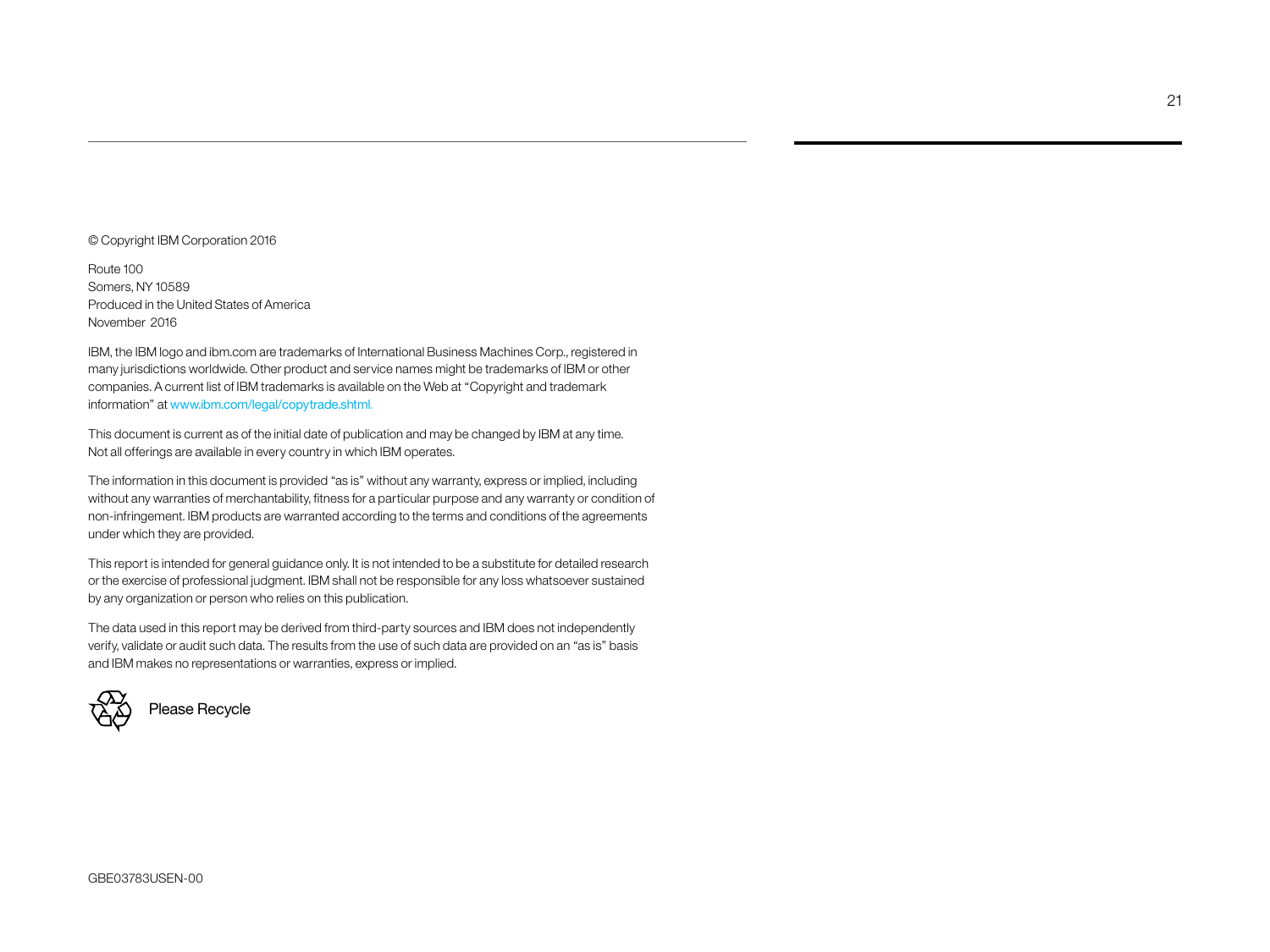#### © Copyright IBM Corporation 2016

Route 100 Somers, NY 10589 Produced in the United States of America November 2016

IBM, the IBM logo and ibm.com are trademarks of International Business Machines Corp., registered in many jurisdictions worldwide. Other product and service names might be trademarks of IBM or other companies. A current list of IBM trademarks is available on the Web at "Copyright and trademark information" at www.ibm.com/legal/copytrade.shtml.

This document is current as of the initial date of publication and may be changed by IBM at any time. Not all offerings are available in every country in which IBM operates.

The information in this document is provided "as is" without any warranty, express or implied, including without any warranties of merchantability, fitness for a particular purpose and any warranty or condition of non-infringement. IBM products are warranted according to the terms and conditions of the agreements under which they are provided.

This report is intended for general guidance only. It is not intended to be a substitute for detailed research or the exercise of professional judgment. IBM shall not be responsible for any loss whatsoever sustained by any organization or person who relies on this publication.

The data used in this report may be derived from third-party sources and IBM does not independently verify, validate or audit such data. The results from the use of such data are provided on an "as is" basis and IBM makes no representations or warranties, express or implied.



Please Recycle